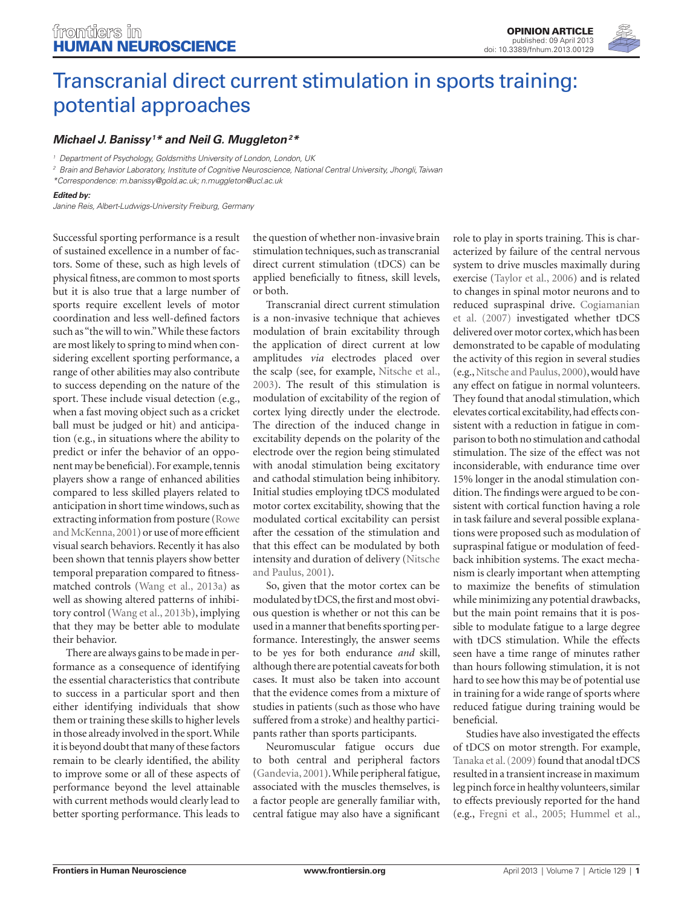

# [Transcranial direct current stimulation in sports training:](http://www.frontiersin.org/Human_Neuroscience/10.3389/fnhum.2013.00129/full)  [potential approaches](http://www.frontiersin.org/Human_Neuroscience/10.3389/fnhum.2013.00129/full)

## *[Michael J. Banissy](http://www.frontiersin.org/Community/WhosWhoActivity.aspx?sname=MichaelBanissy&UID=59248)1 \* and [Neil G. Muggleton2](http://www.frontiersin.org/people/NeilMuggleton/66392) \**

*<sup>1</sup> Department of Psychology, Goldsmiths University of London, London, UK*

*<sup>2</sup> Brain and Behavior Laboratory, Institute of Cognitive Neuroscience, National Central University, Jhongli, Taiwan*

*\*Correspondence: [m.banissy@gold.ac.uk](mailto:m.banissy@gold.ac.uk); [n.muggleton@ucl.ac.uk](mailto:n.muggleton@ucl.ac.uk)*

#### *Edited by:*

*Janine Reis, Albert-Ludwigs-University Freiburg, Germany*

Successful sporting performance is a result of sustained excellence in a number of factors. Some of these, such as high levels of physical fitness, are common to most sports but it is also true that a large number of sports require excellent levels of motor coordination and less well-defined factors such as "the will to win." While these factors are most likely to spring to mind when considering excellent sporting performance, a range of other abilities may also contribute to success depending on the nature of the sport. These include visual detection (e.g., when a fast moving object such as a cricket ball must be judged or hit) and anticipation (e.g., in situations where the ability to predict or infer the behavior of an opponent may be beneficial). For example, tennis players show a range of enhanced abilities compared to less skilled players related to anticipation in short time windows, such as extracting information from posture [\(Rowe](#page-2-0)  [and McKenna, 2001\)](#page-2-0) or use of more efficient visual search behaviors. Recently it has also been shown that tennis players show better temporal preparation compared to fitnessmatched controls (Wang et [al., 2013a\)](#page-2-0) as well as showing altered patterns of inhibitory control (Wang et [al., 2013b\),](#page-2-0) implying that they may be better able to modulate their behavior.

There are always gains to be made in performance as a consequence of identifying the essential characteristics that contribute to success in a particular sport and then either identifying individuals that show them or training these skills to higher levels in those already involved in the sport. While it is beyond doubt that many of these factors remain to be clearly identified, the ability to improve some or all of these aspects of performance beyond the level attainable with current methods would clearly lead to better sporting performance. This leads to

the question of whether non-invasive brain stimulation techniques, such as transcranial direct current stimulation (tDCS) can be applied beneficially to fitness, skill levels, or both.

Transcranial direct current stimulation is a non-invasive technique that achieves modulation of brain excitability through the application of direct current at low amplitudes *via* electrodes placed over the scalp (see, for example, [Nitsche et](#page-2-0) al., [2003\).](#page-2-0) The result of this stimulation is modulation of excitability of the region of cortex lying directly under the electrode. The direction of the induced change in excitability depends on the polarity of the electrode over the region being stimulated with anodal stimulation being excitatory and cathodal stimulation being inhibitory. Initial studies employing tDCS modulated motor cortex excitability, showing that the modulated cortical excitability can persist after the cessation of the stimulation and that this effect can be modulated by both intensity and duration of delivery [\(Nitsche](#page-2-0)  [and Paulus, 2001\).](#page-2-0)

So, given that the motor cortex can be modulated by tDCS, the first and most obvious question is whether or not this can be used in a manner that benefits sporting performance. Interestingly, the answer seems to be yes for both endurance *and* skill, although there are potential caveats for both cases. It must also be taken into account that the evidence comes from a mixture of studies in patients (such as those who have suffered from a stroke) and healthy participants rather than sports participants.

Neuromuscular fatigue occurs due to both central and peripheral factors [\(Gandevia, 2001\)](#page-2-0). While peripheral fatigue, associated with the muscles themselves, is a factor people are generally familiar with, central fatigue may also have a significant role to play in sports training. This is characterized by failure of the central nervous system to drive muscles maximally during exercise (Taylor et [al., 2006\) a](#page-2-0)nd is related to changes in spinal motor neurons and to reduced supraspinal drive. [Cogiamanian](#page-2-0)  et [al. \(2007\)](#page-2-0) investigated whether tDCS delivered over motor cortex, which has been demonstrated to be capable of modulating the activity of this region in several studies [\(e.g., Nitsche and Paulus, 2000\)](#page-2-0), would have any effect on fatigue in normal volunteers. They found that anodal stimulation, which elevates cortical excitability, had effects consistent with a reduction in fatigue in comparison to both no stimulation and cathodal stimulation. The size of the effect was not inconsiderable, with endurance time over 15% longer in the anodal stimulation condition. The findings were argued to be consistent with cortical function having a role in task failure and several possible explanations were proposed such as modulation of supraspinal fatigue or modulation of feedback inhibition systems. The exact mechanism is clearly important when attempting to maximize the benefits of stimulation while minimizing any potential drawbacks, but the main point remains that it is possible to modulate fatigue to a large degree with tDCS stimulation. While the effects seen have a time range of minutes rather than hours following stimulation, it is not hard to see how this may be of potential use in training for a wide range of sports where reduced fatigue during training would be beneficial.

Studies have also investigated the effects of tDCS on motor strength. For example, Tanaka et [al. \(2009\)](#page-2-0) found that anodal tDCS resulted in a transient increase in maximum leg pinch force in healthy volunteers, similar to effects previously reported for the hand (e.g., Fregni et [al., 2005; Hummel et](#page-2-0) al.,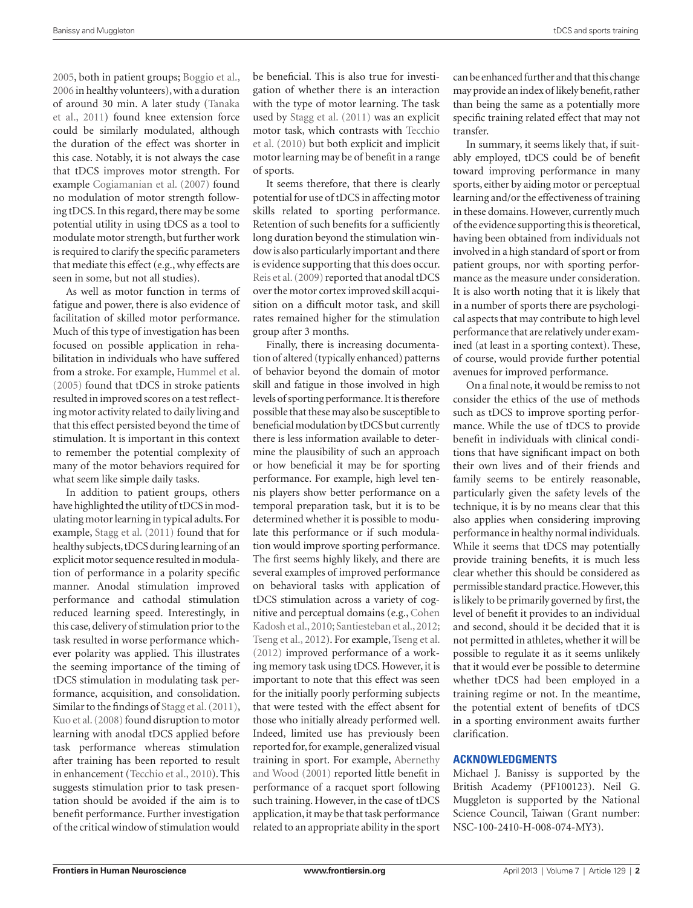[2005, b](#page-2-0)oth in patient groups; [Boggio et](#page-2-0) al., [2006](#page-2-0) in healthy volunteers), with a duration of around 30 min. A later study [\(Tanaka](#page-2-0)  et [al., 2011\)](#page-2-0) found knee extension force could be similarly modulated, although the duration of the effect was shorter in this case. Notably, it is not always the case that tDCS improves motor strength. For example [Cogiamanian et](#page-2-0) al. (2007) found no modulation of motor strength following tDCS. In this regard, there may be some potential utility in using tDCS as a tool to modulate motor strength, but further work is required to clarify the specific parameters that mediate this effect (e.g., why effects are seen in some, but not all studies).

As well as motor function in terms of fatigue and power, there is also evidence of facilitation of skilled motor performance. Much of this type of investigation has been focused on possible application in rehabilitation in individuals who have suffered from a stroke. For example, [Hummel et](#page-2-0) al. [\(2005\)](#page-2-0) found that tDCS in stroke patients resulted in improved scores on a test reflecting motor activity related to daily living and that this effect persisted beyond the time of stimulation. It is important in this context to remember the potential complexity of many of the motor behaviors required for what seem like simple daily tasks.

In addition to patient groups, others have highlighted the utility of tDCS in modulating motor learning in typical adults. For example, Stagg et [al. \(2011\)](#page-2-0) found that for healthy subjects, tDCS during learning of an explicit motor sequence resulted in modulation of performance in a polarity specific manner. Anodal stimulation improved performance and cathodal stimulation reduced learning speed. Interestingly, in this case, delivery of stimulation prior to the task resulted in worse performance whichever polarity was applied. This illustrates the seeming importance of the timing of tDCS stimulation in modulating task performance, acquisition, and consolidation. Similar to the findings of Stagg et [al. \(2011\),](#page-2-0)  Kuo et [al. \(2008\)](#page-2-0) found disruption to motor learning with anodal tDCS applied before task performance whereas stimulation after training has been reported to result in enhancement [\(Tecchio et](#page-2-0) al., 2010). This suggests stimulation prior to task presentation should be avoided if the aim is to benefit performance. Further investigation of the critical window of stimulation would

be beneficial. This is also true for investigation of whether there is an interaction with the type of motor learning. The task used by Stagg et [al. \(2011\)](#page-2-0) was an explicit motor task, which contrasts with [Tecchio](#page-2-0)  et [al. \(2010\)](#page-2-0) but both explicit and implicit motor learning may be of benefit in a range of sports.

It seems therefore, that there is clearly potential for use of tDCS in affecting motor skills related to sporting performance. Retention of such benefits for a sufficiently long duration beyond the stimulation window is also particularly important and there is evidence supporting that this does occur. Reis et [al. \(2009\)](#page-2-0) reported that anodal tDCS over the motor cortex improved skill acquisition on a difficult motor task, and skill rates remained higher for the stimulation group after 3 months.

Finally, there is increasing documentation of altered (typically enhanced) patterns of behavior beyond the domain of motor skill and fatigue in those involved in high levels of sporting performance. It is therefore possible that these may also be susceptible to beneficial modulation by tDCS but currently there is less information available to determine the plausibility of such an approach or how beneficial it may be for sporting performance. For example, high level tennis players show better performance on a temporal preparation task, but it is to be determined whether it is possible to modulate this performance or if such modulation would improve sporting performance. The first seems highly likely, and there are several examples of improved performance on behavioral tasks with application of tDCS stimulation across a variety of cognitive and perceptual domains (e.g.[, Cohen](#page-2-0)  Kadosh et [al., 2010; Santiesteban et](#page-2-0) al., 2012; Tseng et [al., 2012\).](#page-2-0) For example, [Tseng et](#page-2-0) al. [\(2012\)](#page-2-0) improved performance of a working memory task using tDCS. However, it is important to note that this effect was seen for the initially poorly performing subjects that were tested with the effect absent for those who initially already performed well. Indeed, limited use has previously been reported for, for example, generalized visual training in sport. For example, [Abernethy](#page-2-0)  [and Wood \(2001\)](#page-2-0) reported little benefit in performance of a racquet sport following such training. However, in the case of tDCS application, it may be that task performance related to an appropriate ability in the sport can be enhanced further and that this change may provide an index of likely benefit, rather than being the same as a potentially more specific training related effect that may not transfer.

In summary, it seems likely that, if suitably employed, tDCS could be of benefit toward improving performance in many sports, either by aiding motor or perceptual learning and/or the effectiveness of training in these domains. However, currently much of the evidence supporting this is theoretical, having been obtained from individuals not involved in a high standard of sport or from patient groups, nor with sporting performance as the measure under consideration. It is also worth noting that it is likely that in a number of sports there are psychological aspects that may contribute to high level performance that are relatively under examined (at least in a sporting context). These, of course, would provide further potential avenues for improved performance.

On a final note, it would be remiss to not consider the ethics of the use of methods such as tDCS to improve sporting performance. While the use of tDCS to provide benefit in individuals with clinical conditions that have significant impact on both their own lives and of their friends and family seems to be entirely reasonable, particularly given the safety levels of the technique, it is by no means clear that this also applies when considering improving performance in healthy normal individuals. While it seems that tDCS may potentially provide training benefits, it is much less clear whether this should be considered as permissible standard practice. However, this is likely to be primarily governed by first, the level of benefit it provides to an individual and second, should it be decided that it is not permitted in athletes, whether it will be possible to regulate it as it seems unlikely that it would ever be possible to determine whether tDCS had been employed in a training regime or not. In the meantime, the potential extent of benefits of tDCS in a sporting environment awaits further clarification.

### **Acknowledgments**

Michael J. Banissy is supported by the British Academy (PF100123). Neil G. Muggleton is supported by the National Science Council, Taiwan (Grant number: NSC-100-2410-H-008-074-MY3).